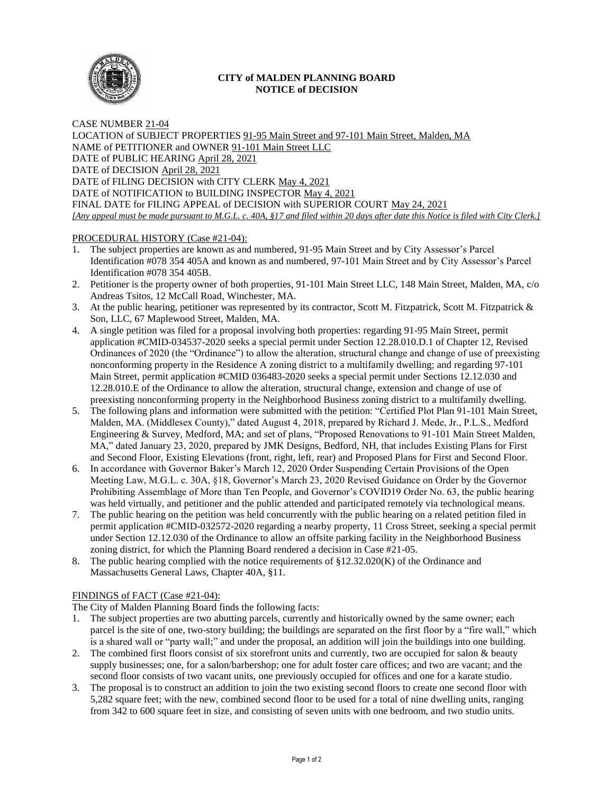

# **CITY of MALDEN PLANNING BOARD NOTICE of DECISION**

CASE NUMBER 21-04 LOCATION of SUBJECT PROPERTIES 91-95 Main Street and 97-101 Main Street, Malden, MA NAME of PETITIONER and OWNER 91-101 Main Street LLC DATE of PUBLIC HEARING April 28, 2021 DATE of DECISION April 28, 2021 DATE of FILING DECISION with CITY CLERK May 4, 2021 DATE of NOTIFICATION to BUILDING INSPECTOR May 4, 2021 FINAL DATE for FILING APPEAL of DECISION with SUPERIOR COURT May 24, 2021 *[Any appeal must be made pursuant to M.G.L. c. 40A, §17 and filed within 20 days after date this Notice is filed with City Clerk.]* 

# PROCEDURAL HISTORY (Case #21-04):

- 1. The subject properties are known as and numbered, 91-95 Main Street and by City Assessor's Parcel Identification #078 354 405A and known as and numbered, 97-101 Main Street and by City Assessor's Parcel Identification #078 354 405B.
- 2. Petitioner is the property owner of both properties, 91-101 Main Street LLC, 148 Main Street, Malden, MA, c/o Andreas Tsitos, 12 McCall Road, Winchester, MA.
- 3. At the public hearing, petitioner was represented by its contractor, Scott M. Fitzpatrick, Scott M. Fitzpatrick & Son, LLC, 67 Maplewood Street, Malden, MA.
- 4. A single petition was filed for a proposal involving both properties: regarding 91-95 Main Street, permit application #CMID-034537-2020 seeks a special permit under Section 12.28.010.D.1 of Chapter 12, Revised Ordinances of 2020 (the "Ordinance") to allow the alteration, structural change and change of use of preexisting nonconforming property in the Residence A zoning district to a multifamily dwelling; and regarding 97-101 Main Street, permit application #CMID 036483-2020 seeks a special permit under Sections 12.12.030 and 12.28.010.E of the Ordinance to allow the alteration, structural change, extension and change of use of preexisting nonconforming property in the Neighborhood Business zoning district to a multifamily dwelling.
- 5. The following plans and information were submitted with the petition: "Certified Plot Plan 91-101 Main Street, Malden, MA. (Middlesex County)," dated August 4, 2018, prepared by Richard J. Mede, Jr., P.L.S., Medford Engineering & Survey, Medford, MA; and set of plans, "Proposed Renovations to 91-101 Main Street Malden, MA," dated January 23, 2020, prepared by JMK Designs, Bedford, NH, that includes Existing Plans for First and Second Floor, Existing Elevations (front, right, left, rear) and Proposed Plans for First and Second Floor.
- 6. In accordance with Governor Baker's March 12, 2020 Order Suspending Certain Provisions of the Open Meeting Law, M.G.L. c. 30A, §18, Governor's March 23, 2020 Revised Guidance on Order by the Governor Prohibiting Assemblage of More than Ten People, and Governor's COVID19 Order No. 63, the public hearing was held virtually, and petitioner and the public attended and participated remotely via technological means.
- 7. The public hearing on the petition was held concurrently with the public hearing on a related petition filed in permit application #CMID-032572-2020 regarding a nearby property, 11 Cross Street, seeking a special permit under Section 12.12.030 of the Ordinance to allow an offsite parking facility in the Neighborhood Business zoning district, for which the Planning Board rendered a decision in Case #21-05.
- 8. The public hearing complied with the notice requirements of §12.32.020(K) of the Ordinance and Massachusetts General Laws, Chapter 40A, §11.

### FINDINGS of FACT (Case #21-04):

The City of Malden Planning Board finds the following facts:

- 1. The subject properties are two abutting parcels, currently and historically owned by the same owner; each parcel is the site of one, two-story building; the buildings are separated on the first floor by a "fire wall," which is a shared wall or "party wall;" and under the proposal, an addition will join the buildings into one building.
- 2. The combined first floors consist of six storefront units and currently, two are occupied for salon & beauty supply businesses; one, for a salon/barbershop; one for adult foster care offices; and two are vacant; and the second floor consists of two vacant units, one previously occupied for offices and one for a karate studio.
- 3. The proposal is to construct an addition to join the two existing second floors to create one second floor with 5,282 square feet; with the new, combined second floor to be used for a total of nine dwelling units, ranging from 342 to 600 square feet in size, and consisting of seven units with one bedroom, and two studio units.